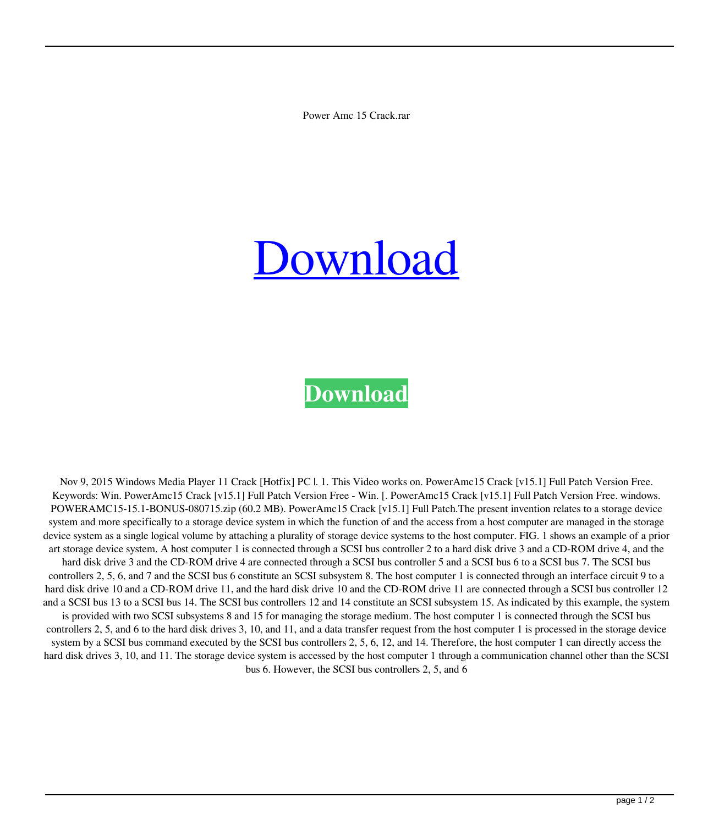Power Amc 15 Crack.rar

## [Download](http://evacdir.com/billy/convents/lambie.popkin.cG93ZXIgYW1jIDE1IGNyYWNrLnJhcgcG9&ZG93bmxvYWR8V0s4TVhkdU9IeDhNVFkxTWpjME1EZzJObng4TWpVM05IeDhLRTBwSUhKbFlXUXRZbXh2WnlCYlJtRnpkQ0JIUlU1ZA.watchdog.uncover)

## **[Download](http://evacdir.com/billy/convents/lambie.popkin.cG93ZXIgYW1jIDE1IGNyYWNrLnJhcgcG9&ZG93bmxvYWR8V0s4TVhkdU9IeDhNVFkxTWpjME1EZzJObng4TWpVM05IeDhLRTBwSUhKbFlXUXRZbXh2WnlCYlJtRnpkQ0JIUlU1ZA.watchdog.uncover)**

Nov 9, 2015 Windows Media Player 11 Crack [Hotfix] PC |. 1. This Video works on. PowerAmc15 Crack [v15.1] Full Patch Version Free. Keywords: Win. PowerAmc15 Crack [v15.1] Full Patch Version Free - Win. [. PowerAmc15 Crack [v15.1] Full Patch Version Free. windows. POWERAMC15-15.1-BONUS-080715.zip (60.2 MB). PowerAmc15 Crack [v15.1] Full Patch.The present invention relates to a storage device system and more specifically to a storage device system in which the function of and the access from a host computer are managed in the storage device system as a single logical volume by attaching a plurality of storage device systems to the host computer. FIG. 1 shows an example of a prior art storage device system. A host computer 1 is connected through a SCSI bus controller 2 to a hard disk drive 3 and a CD-ROM drive 4, and the hard disk drive 3 and the CD-ROM drive 4 are connected through a SCSI bus controller 5 and a SCSI bus 6 to a SCSI bus 7. The SCSI bus controllers 2, 5, 6, and 7 and the SCSI bus 6 constitute an SCSI subsystem 8. The host computer 1 is connected through an interface circuit 9 to a hard disk drive 10 and a CD-ROM drive 11, and the hard disk drive 10 and the CD-ROM drive 11 are connected through a SCSI bus controller 12 and a SCSI bus 13 to a SCSI bus 14. The SCSI bus controllers 12 and 14 constitute an SCSI subsystem 15. As indicated by this example, the system is provided with two SCSI subsystems 8 and 15 for managing the storage medium. The host computer 1 is connected through the SCSI bus controllers 2, 5, and 6 to the hard disk drives 3, 10, and 11, and a data transfer request from the host computer 1 is processed in the storage device system by a SCSI bus command executed by the SCSI bus controllers 2, 5, 6, 12, and 14. Therefore, the host computer 1 can directly access the hard disk drives 3, 10, and 11. The storage device system is accessed by the host computer 1 through a communication channel other than the SCSI bus 6. However, the SCSI bus controllers 2, 5, and 6